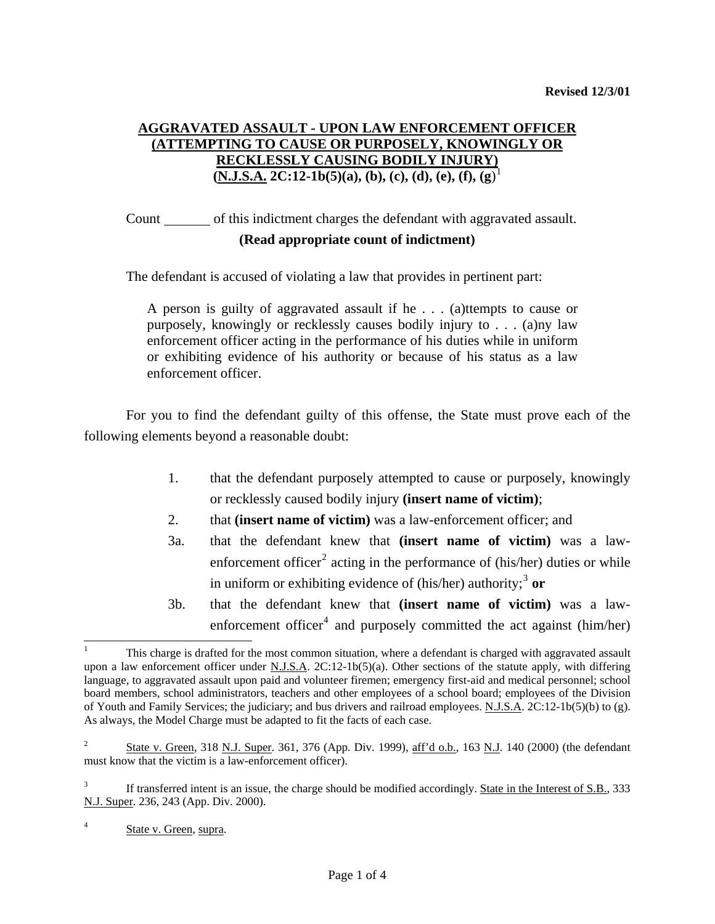## **AGGRAVATED ASSAULT - UPON LAW ENFORCEMENT OFFICER (ATTEMPTING TO CAUSE OR PURPOSELY, KNOWINGLY OR RECKLESSLY CAUSING BODILY INJURY) (N.J.S.A. 2C:12-1b(5)(a), (b), (c), (d), (e), (f), (g**) [1](#page-0-0)

 Count of this indictment charges the defendant with aggravated assault. **(Read appropriate count of indictment)** 

The defendant is accused of violating a law that provides in pertinent part:

A person is guilty of aggravated assault if he . . . (a)ttempts to cause or purposely, knowingly or recklessly causes bodily injury to . . . (a)ny law enforcement officer acting in the performance of his duties while in uniform or exhibiting evidence of his authority or because of his status as a law enforcement officer.

 For you to find the defendant guilty of this offense, the State must prove each of the following elements beyond a reasonable doubt:

- 1. that the defendant purposely attempted to cause or purposely, knowingly or recklessly caused bodily injury **(insert name of victim)**;
- 2. that **(insert name of victim)** was a law-enforcement officer; and
- 3a. that the defendant knew that **(insert name of victim)** was a law-enforcement officer<sup>[2](#page-0-1)</sup> acting in the performance of (his/her) duties or while in uniform or exhibiting evidence of (his/her) authority;<sup>[3](#page-0-2)</sup> or
- 3b. that the defendant knew that **(insert name of victim)** was a law-enforcement officer<sup>[4](#page-0-3)</sup> and purposely committed the act against (him/her)

<span id="page-0-0"></span><sup>1</sup> This charge is drafted for the most common situation, where a defendant is charged with aggravated assault upon a law enforcement officer under N.J.S.A.  $2C:12-1b(5)(a)$ . Other sections of the statute apply, with differing language, to aggravated assault upon paid and volunteer firemen; emergency first-aid and medical personnel; school board members, school administrators, teachers and other employees of a school board; employees of the Division of Youth and Family Services; the judiciary; and bus drivers and railroad employees. N.J.S.A. 2C:12-1b(5)(b) to (g). As always, the Model Charge must be adapted to fit the facts of each case.

<span id="page-0-4"></span><span id="page-0-1"></span><sup>2</sup> State v. Green, 318 N.J. Super. 361, 376 (App. Div. 1999), aff'd o.b., 163 N.J. 140 (2000) (the defendant must know that the victim is a law-enforcement officer).

<span id="page-0-2"></span><sup>3</sup> If transferred intent is an issue, the charge should be modified accordingly. State in the Interest of S.B., 333 N.J. Super. 236, 243 (App. Div. 2000).

<span id="page-0-3"></span><sup>4</sup> State v. Green, supra.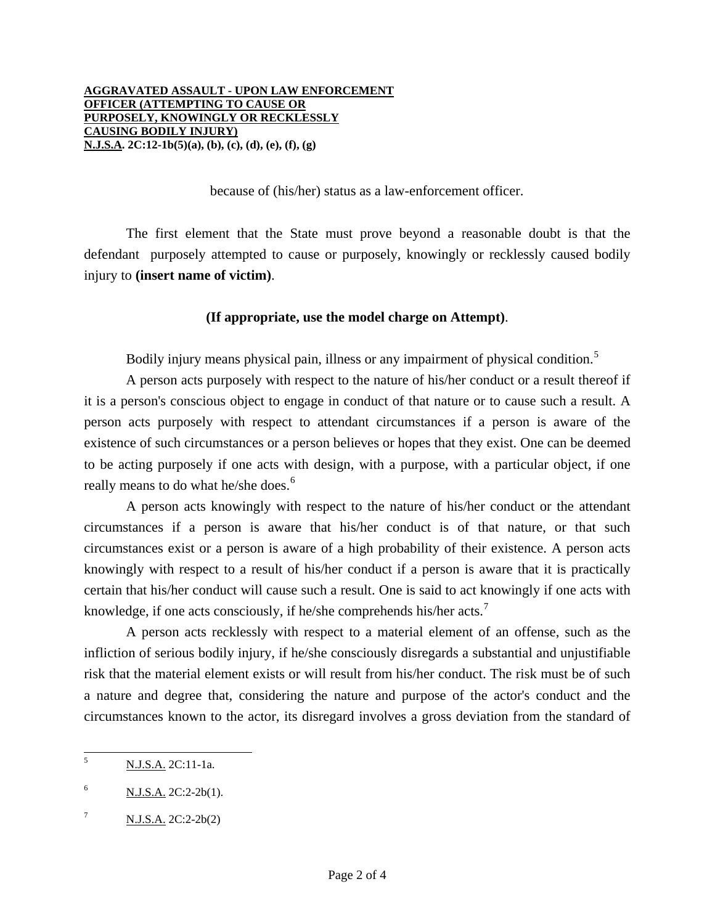because of (his/her) status as a law-enforcement officer.

 The first element that the State must prove beyond a reasonable doubt is that the defendant purposely attempted to cause or purposely, knowingly or recklessly caused bodily injury to **(insert name of victim)**.

## **(If appropriate, use the model charge on Attempt)**.

Bodily injury means physical pain, illness or any impairment of physical condition.<sup>[5](#page-0-4)</sup>

 A person acts purposely with respect to the nature of his/her conduct or a result thereof if it is a person's conscious object to engage in conduct of that nature or to cause such a result. A person acts purposely with respect to attendant circumstances if a person is aware of the existence of such circumstances or a person believes or hopes that they exist. One can be deemed to be acting purposely if one acts with design, with a purpose, with a particular object, if one really means to do what he/she does.<sup>[6](#page-1-0)</sup>

 A person acts knowingly with respect to the nature of his/her conduct or the attendant circumstances if a person is aware that his/her conduct is of that nature, or that such circumstances exist or a person is aware of a high probability of their existence. A person acts knowingly with respect to a result of his/her conduct if a person is aware that it is practically certain that his/her conduct will cause such a result. One is said to act knowingly if one acts with knowledge, if one acts consciously, if he/she comprehends his/her acts.<sup>[7](#page-1-1)</sup>

 A person acts recklessly with respect to a material element of an offense, such as the infliction of serious bodily injury, if he/she consciously disregards a substantial and unjustifiable risk that the material element exists or will result from his/her conduct. The risk must be of such a nature and degree that, considering the nature and purpose of the actor's conduct and the circumstances known to the actor, its disregard involves a gross deviation from the standard of

<span id="page-1-2"></span> 5 N.J.S.A. 2C:11-1a.

<span id="page-1-0"></span><sup>6</sup> N.J.S.A. 2C:2-2b(1).

<span id="page-1-1"></span><sup>7</sup> N.J.S.A. 2C:2-2b(2)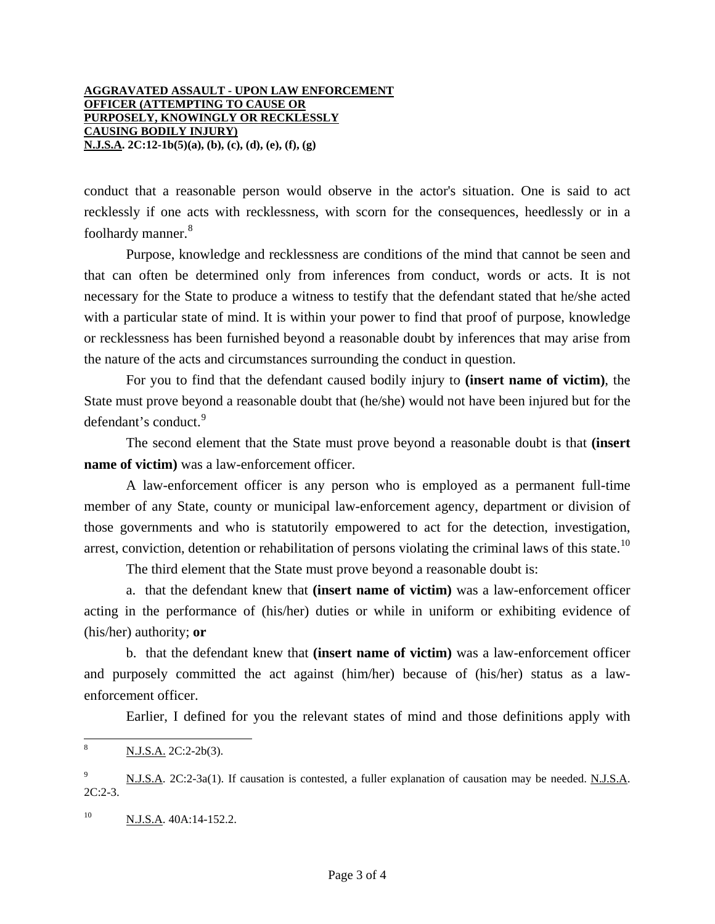## **AGGRAVATED ASSAULT - UPON LAW ENFORCEMENT OFFICER (ATTEMPTING TO CAUSE OR PURPOSELY, KNOWINGLY OR RECKLESSLY CAUSING BODILY INJURY) N.J.S.A. 2C:12-1b(5)(a), (b), (c), (d), (e), (f), (g)**

conduct that a reasonable person would observe in the actor's situation. One is said to act recklessly if one acts with recklessness, with scorn for the consequences, heedlessly or in a foolhardy manner.<sup>[8](#page-1-2)</sup>

 Purpose, knowledge and recklessness are conditions of the mind that cannot be seen and that can often be determined only from inferences from conduct, words or acts. It is not necessary for the State to produce a witness to testify that the defendant stated that he/she acted with a particular state of mind. It is within your power to find that proof of purpose, knowledge or recklessness has been furnished beyond a reasonable doubt by inferences that may arise from the nature of the acts and circumstances surrounding the conduct in question.

 For you to find that the defendant caused bodily injury to **(insert name of victim)**, the State must prove beyond a reasonable doubt that (he/she) would not have been injured but for the defendant's conduct.<sup>[9](#page-2-0)</sup>

 The second element that the State must prove beyond a reasonable doubt is that **(insert name of victim**) was a law-enforcement officer.

 A law-enforcement officer is any person who is employed as a permanent full-time member of any State, county or municipal law-enforcement agency, department or division of those governments and who is statutorily empowered to act for the detection, investigation, arrest, conviction, detention or rehabilitation of persons violating the criminal laws of this state.<sup>[10](#page-2-1)</sup>

The third element that the State must prove beyond a reasonable doubt is:

 a. that the defendant knew that **(insert name of victim)** was a law-enforcement officer acting in the performance of (his/her) duties or while in uniform or exhibiting evidence of (his/her) authority; **or** 

 b. that the defendant knew that **(insert name of victim)** was a law-enforcement officer and purposely committed the act against (him/her) because of (his/her) status as a lawenforcement officer.

Earlier, I defined for you the relevant states of mind and those definitions apply with

 $\overline{a}$ 

<span id="page-2-1"></span> $^{10}$  N.J.S.A. 40A:14-152.2.

<sup>8</sup> N.J.S.A. 2C:2-2b(3).

<span id="page-2-0"></span><sup>9</sup> N.J.S.A. 2C:2-3a(1). If causation is contested, a fuller explanation of causation may be needed. N.J.S.A. 2C:2-3.